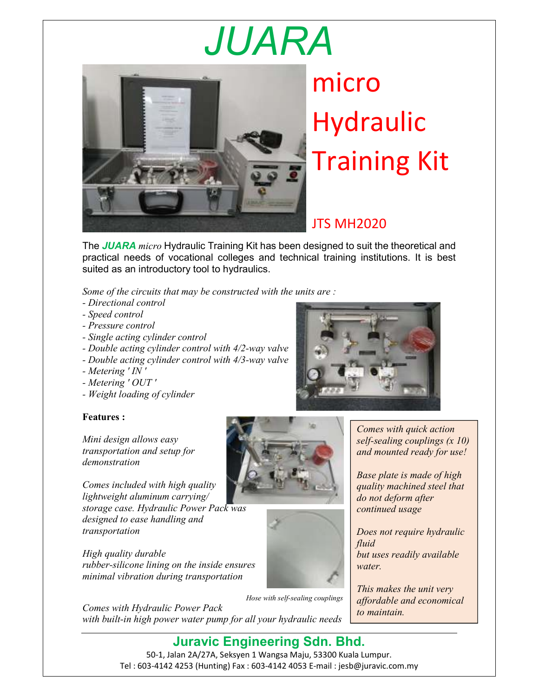## *JUARA*



micro Hydraulic Training Kit

## JTS MH2020

The *JUARA micro* Hydraulic Training Kit has been designed to suit the theoretical and practical needs of vocational colleges and technical training institutions. It is best suited as an introductory tool to hydraulics.

*Some of the circuits that may be constructed with the units are :* 

- *Directional control*
- *Speed control*
- *Pressure control*
- *Single acting cylinder control*
- *Double acting cylinder control with 4/2-way valve*
- *Double acting cylinder control with 4/3-way valve*
- *Metering ' IN '*
- *Metering ' OUT '*
- *Weight loading of cylinder*

## **Features :**

*Mini design allows easy transportation and setup for demonstration* 

*Comes included with high quality lightweight aluminum carrying/* 

*storage case. Hydraulic Power Pack was designed to ease handling and transportation* 

*High quality durable rubber-silicone lining on the inside ensures minimal vibration during transportation* 





*Hose with self-sealing couplings* 

*Comes with Hydraulic Power Pack with built-in high power water pump for all your hydraulic needs* *Comes with quick action self-sealing couplings (x 10)* 

*and mounted ready for use!* 

*Base plate is made of high quality machined steel that do not deform after continued usage* 

*Does not require hydraulic fluid but uses readily available water.* 

*This makes the unit very affordable and economical to maintain.*

**Juravic Engineering Sdn. Bhd.** 50-1, Jalan 2A/27A, Seksyen 1 Wangsa Maju, 53300 Kuala Lumpur. Tel : 603-4142 4253 (Hunting) Fax : 603-4142 4053 E-mail : jesb@juravic.com.my